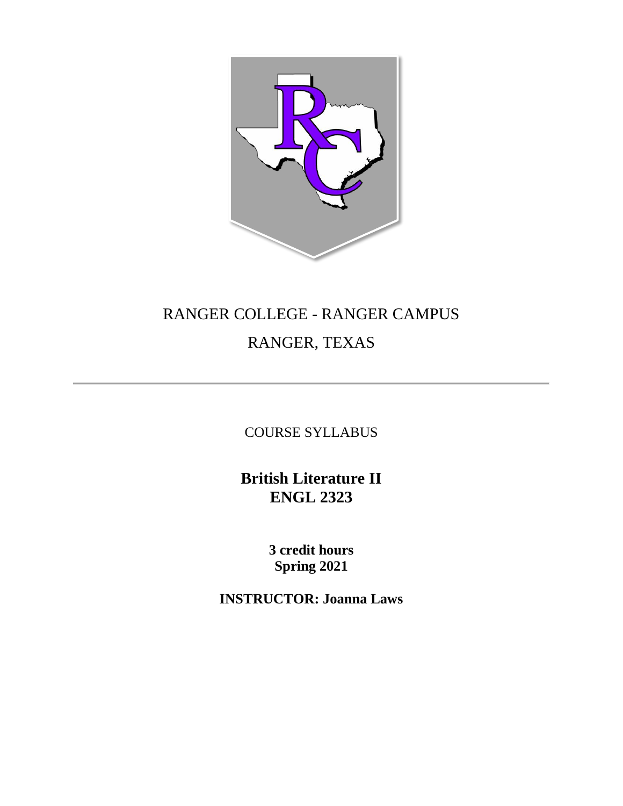

# RANGER COLLEGE - RANGER CAMPUS RANGER, TEXAS

COURSE SYLLABUS

**British Literature II ENGL 2323**

> **3 credit hours Spring 2021**

**INSTRUCTOR: Joanna Laws**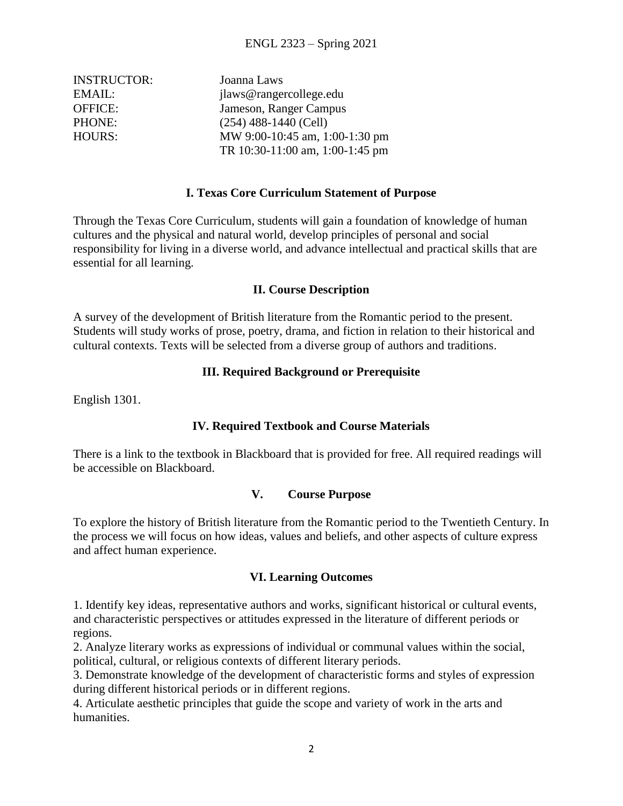| <b>INSTRUCTOR:</b> | Joanna Laws                     |
|--------------------|---------------------------------|
| EMAIL:             | jlaws@rangercollege.edu         |
| <b>OFFICE:</b>     | Jameson, Ranger Campus          |
| PHONE:             | $(254)$ 488-1440 (Cell)         |
| <b>HOURS:</b>      | MW 9:00-10:45 am, 1:00-1:30 pm  |
|                    | TR 10:30-11:00 am, 1:00-1:45 pm |

#### **I. Texas Core Curriculum Statement of Purpose**

Through the Texas Core Curriculum, students will gain a foundation of knowledge of human cultures and the physical and natural world, develop principles of personal and social responsibility for living in a diverse world, and advance intellectual and practical skills that are essential for all learning.

#### **II. Course Description**

A survey of the development of British literature from the Romantic period to the present. Students will study works of prose, poetry, drama, and fiction in relation to their historical and cultural contexts. Texts will be selected from a diverse group of authors and traditions.

#### **III. Required Background or Prerequisite**

English 1301.

#### **IV. Required Textbook and Course Materials**

There is a link to the textbook in Blackboard that is provided for free. All required readings will be accessible on Blackboard.

#### **V. Course Purpose**

To explore the history of British literature from the Romantic period to the Twentieth Century. In the process we will focus on how ideas, values and beliefs, and other aspects of culture express and affect human experience.

#### **VI. Learning Outcomes**

1. Identify key ideas, representative authors and works, significant historical or cultural events, and characteristic perspectives or attitudes expressed in the literature of different periods or regions.

2. Analyze literary works as expressions of individual or communal values within the social, political, cultural, or religious contexts of different literary periods.

3. Demonstrate knowledge of the development of characteristic forms and styles of expression during different historical periods or in different regions.

4. Articulate aesthetic principles that guide the scope and variety of work in the arts and humanities.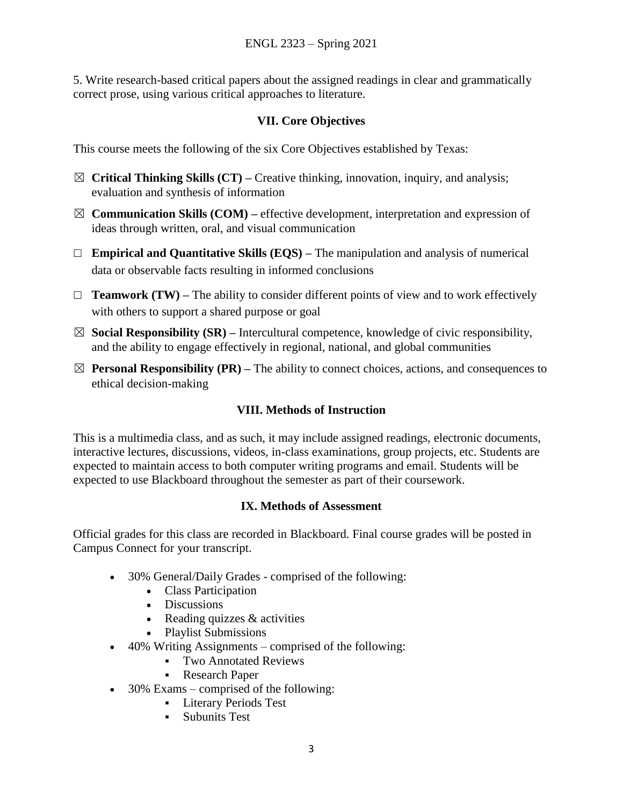5. Write research-based critical papers about the assigned readings in clear and grammatically correct prose, using various critical approaches to literature.

#### **VII. Core Objectives**

This course meets the following of the six Core Objectives established by Texas:

- ☒ **Critical Thinking Skills (CT) –** Creative thinking, innovation, inquiry, and analysis; evaluation and synthesis of information
- $\boxtimes$  **Communication Skills (COM)** effective development, interpretation and expression of ideas through written, oral, and visual communication
- ☐ **Empirical and Quantitative Skills (EQS) –** The manipulation and analysis of numerical data or observable facts resulting in informed conclusions
- ☐ **Teamwork (TW) –** The ability to consider different points of view and to work effectively with others to support a shared purpose or goal
- ☒ **Social Responsibility (SR) –** Intercultural competence, knowledge of civic responsibility, and the ability to engage effectively in regional, national, and global communities
- $\boxtimes$  **Personal Responsibility (PR)** The ability to connect choices, actions, and consequences to ethical decision-making

# **VIII. Methods of Instruction**

This is a multimedia class, and as such, it may include assigned readings, electronic documents, interactive lectures, discussions, videos, in-class examinations, group projects, etc. Students are expected to maintain access to both computer writing programs and email. Students will be expected to use Blackboard throughout the semester as part of their coursework.

#### **IX. Methods of Assessment**

Official grades for this class are recorded in Blackboard. Final course grades will be posted in Campus Connect for your transcript.

- 30% General/Daily Grades comprised of the following:
	- Class Participation
	- Discussions
	- Reading quizzes  $&$  activities
	- Playlist Submissions
- 40% Writing Assignments comprised of the following:
	- Two Annotated Reviews
	- Research Paper
- 30% Exams comprised of the following:
	- Literary Periods Test
	- **Subunits Test**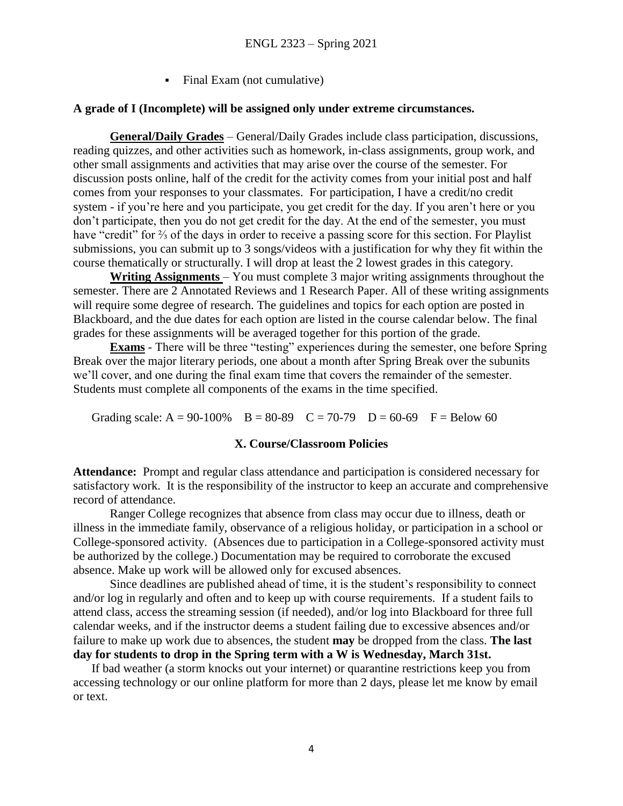Final Exam (not cumulative)

#### **A grade of I (Incomplete) will be assigned only under extreme circumstances.**

**General/Daily Grades** – General/Daily Grades include class participation, discussions, reading quizzes, and other activities such as homework, in-class assignments, group work, and other small assignments and activities that may arise over the course of the semester. For discussion posts online, half of the credit for the activity comes from your initial post and half comes from your responses to your classmates. For participation, I have a credit/no credit system - if you're here and you participate, you get credit for the day. If you aren't here or you don't participate, then you do not get credit for the day. At the end of the semester, you must have "credit" for ⅔ of the days in order to receive a passing score for this section. For Playlist submissions, you can submit up to 3 songs/videos with a justification for why they fit within the course thematically or structurally. I will drop at least the 2 lowest grades in this category.

**Writing Assignments** – You must complete 3 major writing assignments throughout the semester. There are 2 Annotated Reviews and 1 Research Paper. All of these writing assignments will require some degree of research. The guidelines and topics for each option are posted in Blackboard, and the due dates for each option are listed in the course calendar below. The final grades for these assignments will be averaged together for this portion of the grade.

**Exams** - There will be three "testing" experiences during the semester, one before Spring Break over the major literary periods, one about a month after Spring Break over the subunits we'll cover, and one during the final exam time that covers the remainder of the semester. Students must complete all components of the exams in the time specified.

Grading scale:  $A = 90-100\%$  B = 80-89 C = 70-79 D = 60-69 F = Below 60

#### **X. Course/Classroom Policies**

**Attendance:** Prompt and regular class attendance and participation is considered necessary for satisfactory work. It is the responsibility of the instructor to keep an accurate and comprehensive record of attendance.

Ranger College recognizes that absence from class may occur due to illness, death or illness in the immediate family, observance of a religious holiday, or participation in a school or College-sponsored activity. (Absences due to participation in a College-sponsored activity must be authorized by the college.) Documentation may be required to corroborate the excused absence. Make up work will be allowed only for excused absences.

Since deadlines are published ahead of time, it is the student's responsibility to connect and/or log in regularly and often and to keep up with course requirements. If a student fails to attend class, access the streaming session (if needed), and/or log into Blackboard for three full calendar weeks, and if the instructor deems a student failing due to excessive absences and/or failure to make up work due to absences, the student **may** be dropped from the class. **The last day for students to drop in the Spring term with a W is Wednesday, March 31st.**

If bad weather (a storm knocks out your internet) or quarantine restrictions keep you from accessing technology or our online platform for more than 2 days, please let me know by email or text.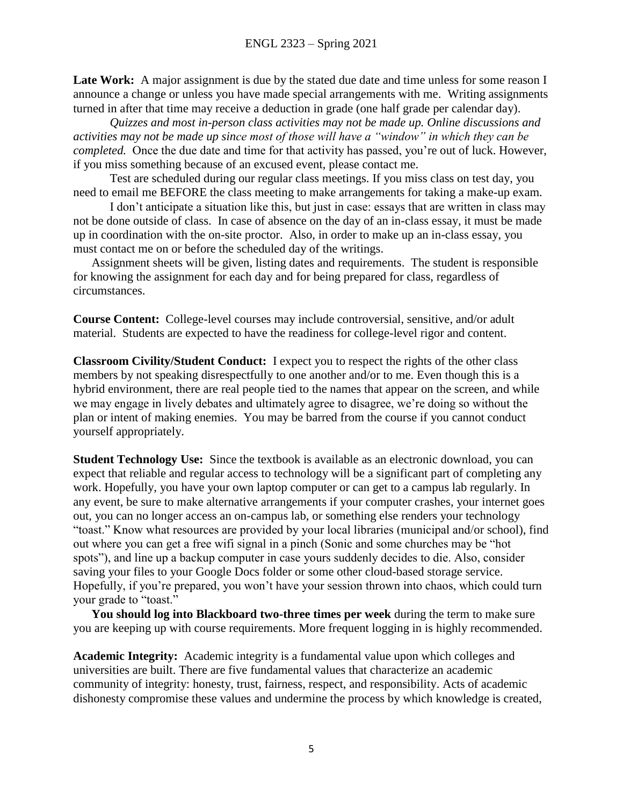Late Work: A major assignment is due by the stated due date and time unless for some reason I announce a change or unless you have made special arrangements with me. Writing assignments turned in after that time may receive a deduction in grade (one half grade per calendar day).

*Quizzes and most in-person class activities may not be made up. Online discussions and activities may not be made up since most of those will have a "window" in which they can be completed.* Once the due date and time for that activity has passed, you're out of luck. However, if you miss something because of an excused event, please contact me.

Test are scheduled during our regular class meetings. If you miss class on test day, you need to email me BEFORE the class meeting to make arrangements for taking a make-up exam.

I don't anticipate a situation like this, but just in case: essays that are written in class may not be done outside of class. In case of absence on the day of an in-class essay, it must be made up in coordination with the on-site proctor. Also, in order to make up an in-class essay, you must contact me on or before the scheduled day of the writings.

Assignment sheets will be given, listing dates and requirements. The student is responsible for knowing the assignment for each day and for being prepared for class, regardless of circumstances.

**Course Content:** College-level courses may include controversial, sensitive, and/or adult material. Students are expected to have the readiness for college-level rigor and content.

**Classroom Civility/Student Conduct:** I expect you to respect the rights of the other class members by not speaking disrespectfully to one another and/or to me. Even though this is a hybrid environment, there are real people tied to the names that appear on the screen, and while we may engage in lively debates and ultimately agree to disagree, we're doing so without the plan or intent of making enemies. You may be barred from the course if you cannot conduct yourself appropriately.

**Student Technology Use:** Since the textbook is available as an electronic download, you can expect that reliable and regular access to technology will be a significant part of completing any work. Hopefully, you have your own laptop computer or can get to a campus lab regularly. In any event, be sure to make alternative arrangements if your computer crashes, your internet goes out, you can no longer access an on-campus lab, or something else renders your technology "toast." Know what resources are provided by your local libraries (municipal and/or school), find out where you can get a free wifi signal in a pinch (Sonic and some churches may be "hot spots"), and line up a backup computer in case yours suddenly decides to die. Also, consider saving your files to your Google Docs folder or some other cloud-based storage service. Hopefully, if you're prepared, you won't have your session thrown into chaos, which could turn your grade to "toast."

**You should log into Blackboard two-three times per week** during the term to make sure you are keeping up with course requirements. More frequent logging in is highly recommended.

**Academic Integrity:** Academic integrity is a fundamental value upon which colleges and universities are built. There are five fundamental values that characterize an academic community of integrity: honesty, trust, fairness, respect, and responsibility. Acts of academic dishonesty compromise these values and undermine the process by which knowledge is created,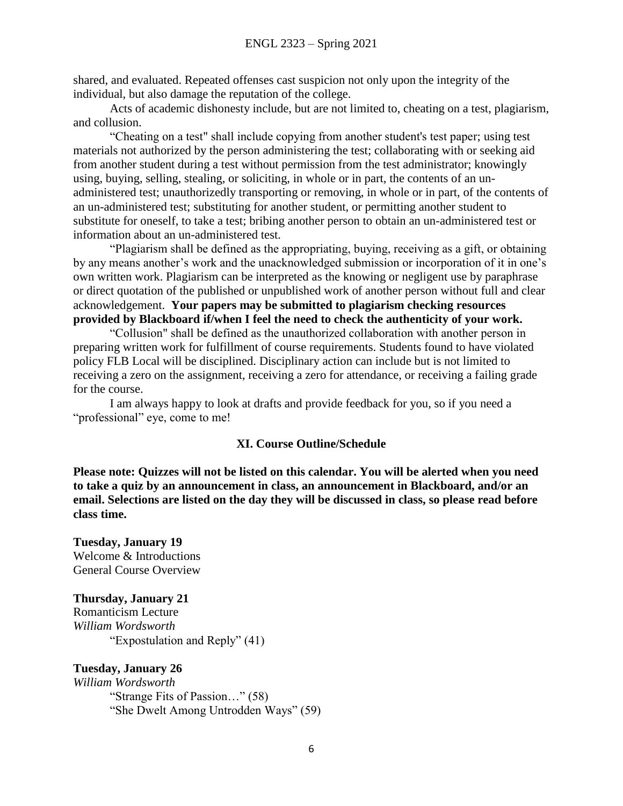shared, and evaluated. Repeated offenses cast suspicion not only upon the integrity of the individual, but also damage the reputation of the college.

Acts of academic dishonesty include, but are not limited to, cheating on a test, plagiarism, and collusion.

"Cheating on a test" shall include copying from another student's test paper; using test materials not authorized by the person administering the test; collaborating with or seeking aid from another student during a test without permission from the test administrator; knowingly using, buying, selling, stealing, or soliciting, in whole or in part, the contents of an unadministered test; unauthorizedly transporting or removing, in whole or in part, of the contents of an un-administered test; substituting for another student, or permitting another student to substitute for oneself, to take a test; bribing another person to obtain an un-administered test or information about an un-administered test.

"Plagiarism shall be defined as the appropriating, buying, receiving as a gift, or obtaining by any means another's work and the unacknowledged submission or incorporation of it in one's own written work. Plagiarism can be interpreted as the knowing or negligent use by paraphrase or direct quotation of the published or unpublished work of another person without full and clear acknowledgement. **Your papers may be submitted to plagiarism checking resources provided by Blackboard if/when I feel the need to check the authenticity of your work.**

"Collusion" shall be defined as the unauthorized collaboration with another person in preparing written work for fulfillment of course requirements. Students found to have violated policy FLB Local will be disciplined. Disciplinary action can include but is not limited to receiving a zero on the assignment, receiving a zero for attendance, or receiving a failing grade for the course.

I am always happy to look at drafts and provide feedback for you, so if you need a "professional" eye, come to me!

#### **XI. Course Outline/Schedule**

**Please note: Quizzes will not be listed on this calendar. You will be alerted when you need to take a quiz by an announcement in class, an announcement in Blackboard, and/or an email. Selections are listed on the day they will be discussed in class, so please read before class time.**

**Tuesday, January 19** Welcome & Introductions General Course Overview

#### **Thursday, January 21**

Romanticism Lecture *William Wordsworth* "Expostulation and Reply" (41)

#### **Tuesday, January 26**

*William Wordsworth* "Strange Fits of Passion…" (58) "She Dwelt Among Untrodden Ways" (59)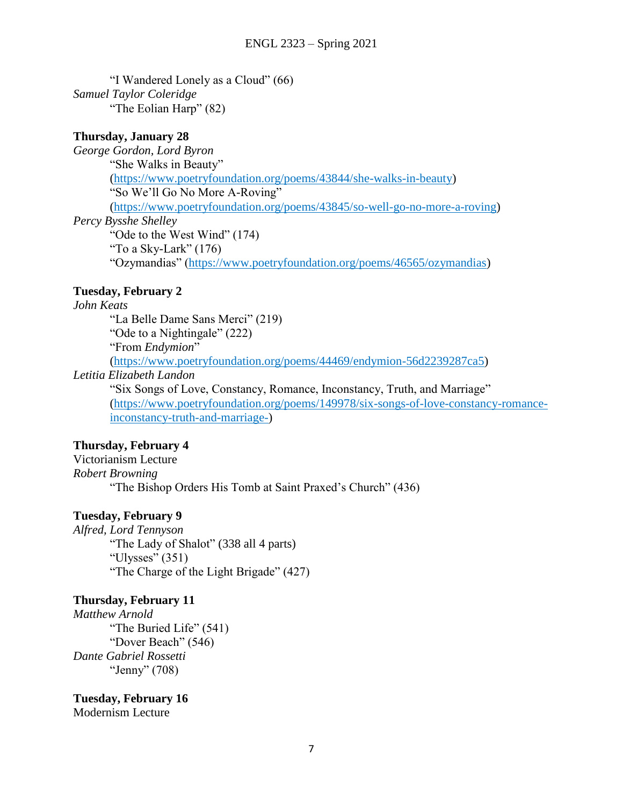"I Wandered Lonely as a Cloud" (66) *Samuel Taylor Coleridge* "The Eolian Harp" (82)

#### **Thursday, January 28**

*George Gordon, Lord Byron* "She Walks in Beauty" [\(https://www.poetryfoundation.org/poems/43844/she-walks-in-beauty\)](https://www.poetryfoundation.org/poems/43844/she-walks-in-beauty) "So We'll Go No More A-Roving" [\(https://www.poetryfoundation.org/poems/43845/so-well-go-no-more-a-roving\)](https://www.poetryfoundation.org/poems/43845/so-well-go-no-more-a-roving) *Percy Bysshe Shelley* "Ode to the West Wind" (174) "To a Sky-Lark"  $(176)$ "Ozymandias" [\(https://www.poetryfoundation.org/poems/46565/ozymandias\)](https://www.poetryfoundation.org/poems/46565/ozymandias)

#### **Tuesday, February 2**

#### *John Keats*

"La Belle Dame Sans Merci" (219) "Ode to a Nightingale" (222) "From *Endymion*" [\(https://www.poetryfoundation.org/poems/44469/endymion-56d2239287ca5\)](https://www.poetryfoundation.org/poems/44469/endymion-56d2239287ca5)

#### *Letitia Elizabeth Landon*

"Six Songs of Love, Constancy, Romance, Inconstancy, Truth, and Marriage" [\(https://www.poetryfoundation.org/poems/149978/six-songs-of-love-constancy-romance](https://www.poetryfoundation.org/poems/149978/six-songs-of-love-constancy-romance-inconstancy-truth-and-marriage-)[inconstancy-truth-and-marriage-\)](https://www.poetryfoundation.org/poems/149978/six-songs-of-love-constancy-romance-inconstancy-truth-and-marriage-)

#### **Thursday, February 4**

Victorianism Lecture *Robert Browning* "The Bishop Orders His Tomb at Saint Praxed's Church" (436)

#### **Tuesday, February 9**

*Alfred, Lord Tennyson* "The Lady of Shalot" (338 all 4 parts) "Ulysses" (351) "The Charge of the Light Brigade" (427)

#### **Thursday, February 11**

*Matthew Arnold* "The Buried Life" (541) "Dover Beach" (546) *Dante Gabriel Rossetti* "Jenny" (708)

**Tuesday, February 16** Modernism Lecture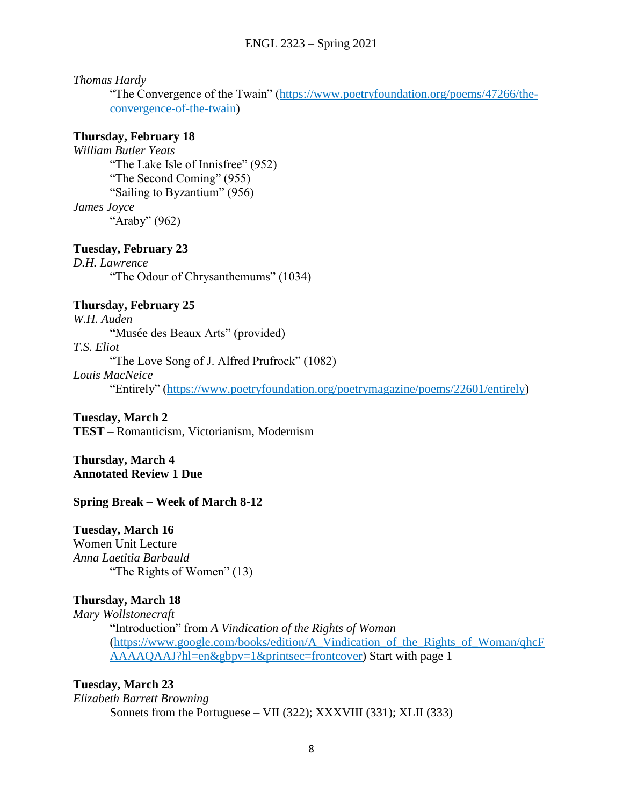*Thomas Hardy* 

"The Convergence of the Twain" [\(https://www.poetryfoundation.org/poems/47266/the](https://www.poetryfoundation.org/poems/47266/the-convergence-of-the-twain)[convergence-of-the-twain\)](https://www.poetryfoundation.org/poems/47266/the-convergence-of-the-twain)

#### **Thursday, February 18**

*William Butler Yeats* "The Lake Isle of Innisfree" (952) "The Second Coming" (955) "Sailing to Byzantium" (956) *James Joyce*  "Araby" (962)

# **Tuesday, February 23**

*D.H. Lawrence* "The Odour of Chrysanthemums" (1034)

# **Thursday, February 25**

*W.H. Auden* "Musée des Beaux Arts" (provided) *T.S. Eliot* "The Love Song of J. Alfred Prufrock" (1082)

*Louis MacNeice*

"Entirely" [\(https://www.poetryfoundation.org/poetrymagazine/poems/22601/entirely\)](https://www.poetryfoundation.org/poetrymagazine/poems/22601/entirely)

**Tuesday, March 2**

**TEST** – Romanticism, Victorianism, Modernism

**Thursday, March 4 Annotated Review 1 Due**

#### **Spring Break – Week of March 8-12**

#### **Tuesday, March 16**

Women Unit Lecture *Anna Laetitia Barbauld* "The Rights of Women" (13)

#### **Thursday, March 18**

*Mary Wollstonecraft* "Introduction" from *A Vindication of the Rights of Woman* [\(https://www.google.com/books/edition/A\\_Vindication\\_of\\_the\\_Rights\\_of\\_Woman/qhcF](https://www.google.com/books/edition/A_Vindication_of_the_Rights_of_Woman/qhcFAAAAQAAJ?hl=en&gbpv=1&printsec=frontcover) [AAAAQAAJ?hl=en&gbpv=1&printsec=frontcover\)](https://www.google.com/books/edition/A_Vindication_of_the_Rights_of_Woman/qhcFAAAAQAAJ?hl=en&gbpv=1&printsec=frontcover) Start with page 1

#### **Tuesday, March 23**

*Elizabeth Barrett Browning* Sonnets from the Portuguese – VII (322); XXXVIII (331); XLII (333)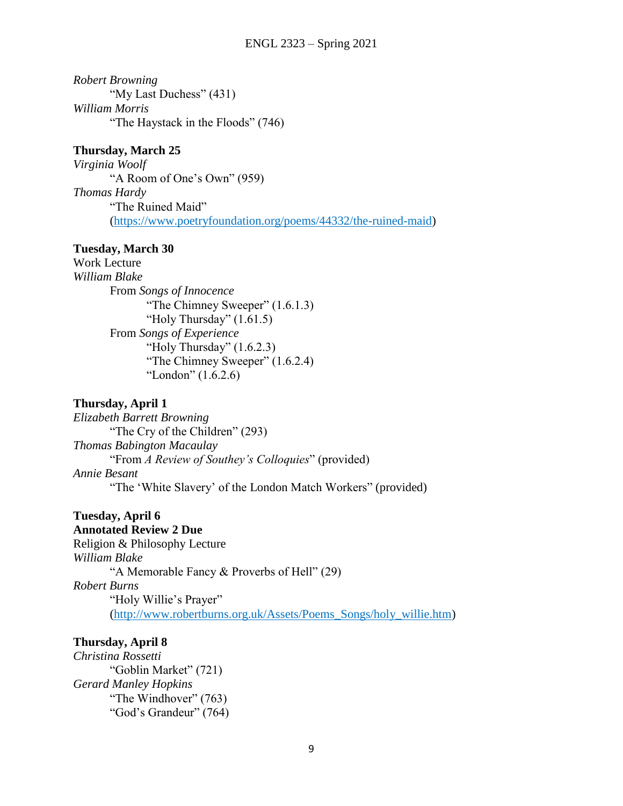*Robert Browning* "My Last Duchess" (431) *William Morris* "The Haystack in the Floods" (746)

#### **Thursday, March 25**

*Virginia Woolf*  "A Room of One's Own" (959) *Thomas Hardy*  "The Ruined Maid" [\(https://www.poetryfoundation.org/poems/44332/the-ruined-maid\)](https://www.poetryfoundation.org/poems/44332/the-ruined-maid)

# **Tuesday, March 30**

Work Lecture *William Blake* From *Songs of Innocence* "The Chimney Sweeper" (1.6.1.3) "Holy Thursday" (1.61.5) From *Songs of Experience* "Holy Thursday"  $(1.6.2.3)$ "The Chimney Sweeper" (1.6.2.4) "London" (1.6.2.6)

### **Thursday, April 1**

*Elizabeth Barrett Browning* "The Cry of the Children" (293) *Thomas Babington Macaulay* "From *A Review of Southey's Colloquies*" (provided) *Annie Besant*  "The 'White Slavery' of the London Match Workers" (provided)

# **Tuesday, April 6**

#### **Annotated Review 2 Due**

Religion & Philosophy Lecture *William Blake*  "A Memorable Fancy & Proverbs of Hell" (29) *Robert Burns* "Holy Willie's Prayer" [\(http://www.robertburns.org.uk/Assets/Poems\\_Songs/holy\\_willie.htm\)](http://www.robertburns.org.uk/Assets/Poems_Songs/holy_willie.htm)

# **Thursday, April 8**

*Christina Rossetti* "Goblin Market" (721) *Gerard Manley Hopkins* "The Windhover" (763) "God's Grandeur" (764)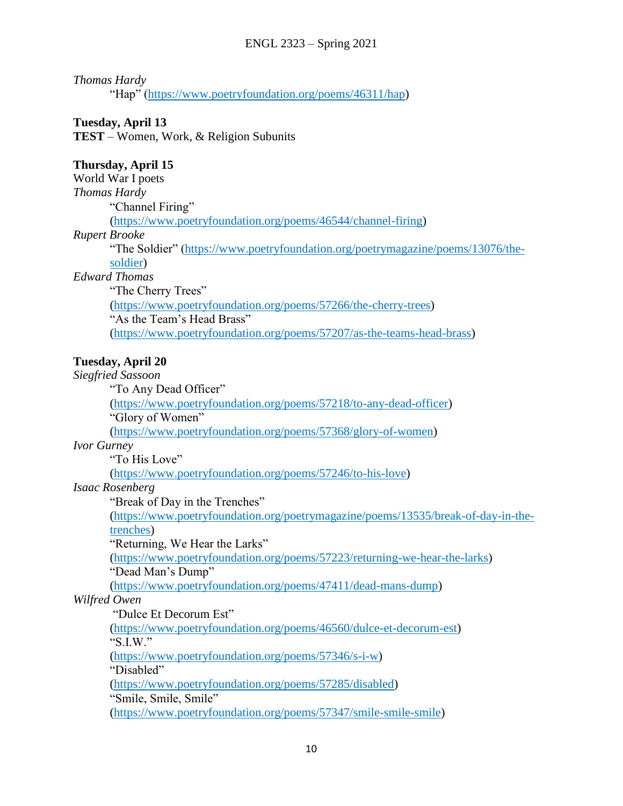# *Thomas Hardy*

"Hap" [\(https://www.poetryfoundation.org/poems/46311/hap\)](https://www.poetryfoundation.org/poems/46311/hap)

# **Tuesday, April 13**

**TEST** – Women, Work, & Religion Subunits

### **Thursday, April 15**

World War I poets *Thomas Hardy* "Channel Firing" [\(https://www.poetryfoundation.org/poems/46544/channel-firing\)](https://www.poetryfoundation.org/poems/46544/channel-firing)

#### *Rupert Brooke*

"The Soldier" [\(https://www.poetryfoundation.org/poetrymagazine/poems/13076/the](https://www.poetryfoundation.org/poetrymagazine/poems/13076/the-soldier)[soldier\)](https://www.poetryfoundation.org/poetrymagazine/poems/13076/the-soldier)

#### *Edward Thomas*

"The Cherry Trees" [\(https://www.poetryfoundation.org/poems/57266/the-cherry-trees\)](https://www.poetryfoundation.org/poems/57266/the-cherry-trees) "As the Team's Head Brass" [\(https://www.poetryfoundation.org/poems/57207/as-the-teams-head-brass\)](https://www.poetryfoundation.org/poems/57207/as-the-teams-head-brass)

# **Tuesday, April 20**

# *Siegfried Sassoon*

"To Any Dead Officer"

[\(https://www.poetryfoundation.org/poems/57218/to-any-dead-officer\)](https://www.poetryfoundation.org/poems/57218/to-any-dead-officer)

"Glory of Women"

[\(https://www.poetryfoundation.org/poems/57368/glory-of-women\)](https://www.poetryfoundation.org/poems/57368/glory-of-women)

#### *Ivor Gurney*

"To His Love"

[\(https://www.poetryfoundation.org/poems/57246/to-his-love\)](https://www.poetryfoundation.org/poems/57246/to-his-love)

#### *Isaac Rosenberg*

"Break of Day in the Trenches"

[\(https://www.poetryfoundation.org/poetrymagazine/poems/13535/break-of-day-in-the](https://www.poetryfoundation.org/poetrymagazine/poems/13535/break-of-day-in-the-trenches)[trenches\)](https://www.poetryfoundation.org/poetrymagazine/poems/13535/break-of-day-in-the-trenches)

"Returning, We Hear the Larks"

[\(https://www.poetryfoundation.org/poems/57223/returning-we-hear-the-larks\)](https://www.poetryfoundation.org/poems/57223/returning-we-hear-the-larks) "Dead Man's Dump"

[\(https://www.poetryfoundation.org/poems/47411/dead-mans-dump\)](https://www.poetryfoundation.org/poems/47411/dead-mans-dump)

#### *Wilfred Owen*

"Dulce Et Decorum Est" [\(https://www.poetryfoundation.org/poems/46560/dulce-et-decorum-est\)](https://www.poetryfoundation.org/poems/46560/dulce-et-decorum-est) "S.I.W." [\(https://www.poetryfoundation.org/poems/57346/s-i-w\)](https://www.poetryfoundation.org/poems/57346/s-i-w) "Disabled" [\(https://www.poetryfoundation.org/poems/57285/disabled\)](https://www.poetryfoundation.org/poems/57285/disabled) "Smile, Smile, Smile" [\(https://www.poetryfoundation.org/poems/57347/smile-smile-smile\)](https://www.poetryfoundation.org/poems/57347/smile-smile-smile)